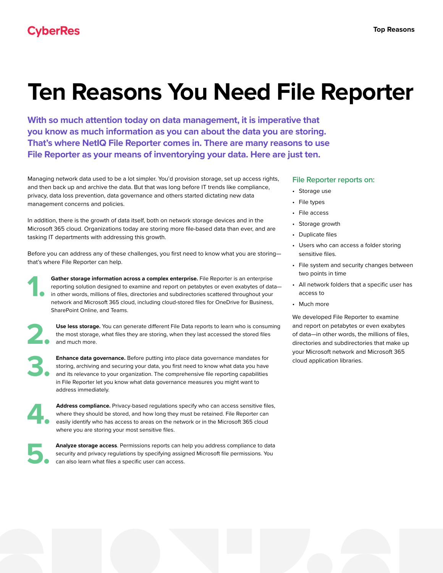## **Ten Reasons You Need File Reporter**

**With so much attention today on data management, it is imperative that you know as much information as you can about the data you are storing. That's where NetIQ File Reporter comes in. There are many reasons to use File Reporter as your means of inventorying your data. Here are just ten.**

Managing network data used to be a lot simpler. You'd provision storage, set up access rights, and then back up and archive the data. But that was long before IT trends like compliance, privacy, data loss prevention, data governance and others started dictating new data management concerns and policies.

In addition, there is the growth of data itself, both on network storage devices and in the Microsoft 365 cloud. Organizations today are storing more file-based data than ever, and are tasking IT departments with addressing this growth.

Before you can address any of these challenges, you first need to know what you are storing that's where File Reporter can help.

Gather storage information across a complex enterprise. File Reporter is an enterprise reporting solution designed to examine and report on petabytes or even exabytes of data in other words, millions of files, directories and subdirectories scattered throughout your network and Microsoft 365 cloud, including cloud-stored files for OneDrive for Business, SharePoint Online, and Teams.

Use less storage. You can generate different File Data reports to learn who is consuming the most storage, what files they are storing, when they last accessed the stored files and much more.

**3. Enhance data governance.** Before putting into place data governance mandates for storing, archiving and securing your data, you first need to know what data you have and its relevance to your organization. The comprehe storing, archiving and securing your data, you first need to know what data you have and its relevance to your organization. The comprehensive file reporting capabilities in File Reporter let you know what data governance measures you might want to address immediately.

**4. Address compliance.** Privacy-based regulations specify who can access sensitive files, where they should be stored, and how long they must be retained. File Reporter can easily identify who has access to areas on the network or in the Microsoft 365 cloud where you are storing your most sensitive files.

**5. Analyze storage access**. Permissions reports can help you address compliance to data security and privacy regulations by specifying assigned Microsoft file permissions. You can also learn what files a specific user can access.

## **[File Reporter](https://community.microfocus.com/t5/File-Reporter/ct-p/FileReporter) reports on:**

- Storage use
- File types
- File access
- Storage growth
- Duplicate files
- Users who can access a folder storing sensitive files.
- File system and security changes between two points in time
- All network folders that a specific user has access to
- Much more

We developed File Reporter to examine and report on petabytes or even exabytes of data—in other words, the millions of files, directories and subdirectories that make up your Microsoft network and Microsoft 365 cloud application libraries.